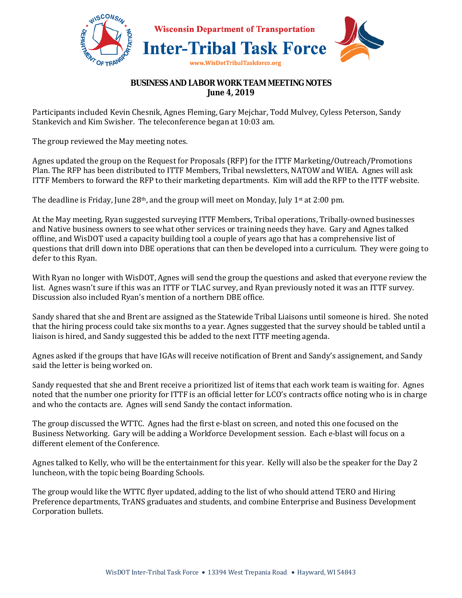

## **BUSINESS AND LABOR WORK TEAM MEETING NOTES June 4, 2019**

Participants included Kevin Chesnik, Agnes Fleming, Gary Mejchar, Todd Mulvey, Cyless Peterson, Sandy Stankevich and Kim Swisher. The teleconference began at 10:03 am.

The group reviewed the May meeting notes.

Agnes updated the group on the Request for Proposals (RFP) for the ITTF Marketing/Outreach/Promotions Plan. The RFP has been distributed to ITTF Members, Tribal newsletters, NATOW and WIEA. Agnes will ask ITTF Members to forward the RFP to their marketing departments. Kim will add the RFP to the ITTF website.

The deadline is Friday, June 28<sup>th</sup>, and the group will meet on Monday, July 1<sup>st</sup> at 2:00 pm.

At the May meeting, Ryan suggested surveying ITTF Members, Tribal operations, Tribally-owned businesses and Native business owners to see what other services or training needs they have. Gary and Agnes talked offline, and WisDOT used a capacity building tool a couple of years ago that has a comprehensive list of questions that drill down into DBE operations that can then be developed into a curriculum. They were going to defer to this Ryan.

With Ryan no longer with WisDOT, Agnes will send the group the questions and asked that everyone review the list. Agnes wasn't sure if this was an ITTF or TLAC survey, and Ryan previously noted it was an ITTF survey. Discussion also included Ryan's mention of a northern DBE office.

Sandy shared that she and Brent are assigned as the Statewide Tribal Liaisons until someone is hired. She noted that the hiring process could take six months to a year. Agnes suggested that the survey should be tabled until a liaison is hired, and Sandy suggested this be added to the next ITTF meeting agenda.

Agnes asked if the groups that have IGAs will receive notification of Brent and Sandy's assignement, and Sandy said the letter is being worked on.

Sandy requested that she and Brent receive a prioritized list of items that each work team is waiting for. Agnes noted that the number one priority for ITTF is an official letter for LCO's contracts office noting who is in charge and who the contacts are. Agnes will send Sandy the contact information.

The group discussed the WTTC. Agnes had the first e-blast on screen, and noted this one focused on the Business Networking. Gary will be adding a Workforce Development session. Each e-blast will focus on a different element of the Conference.

Agnes talked to Kelly, who will be the entertainment for this year. Kelly will also be the speaker for the Day 2 luncheon, with the topic being Boarding Schools.

The group would like the WTTC flyer updated, adding to the list of who should attend TERO and Hiring Preference departments, TrANS graduates and students, and combine Enterprise and Business Development Corporation bullets.